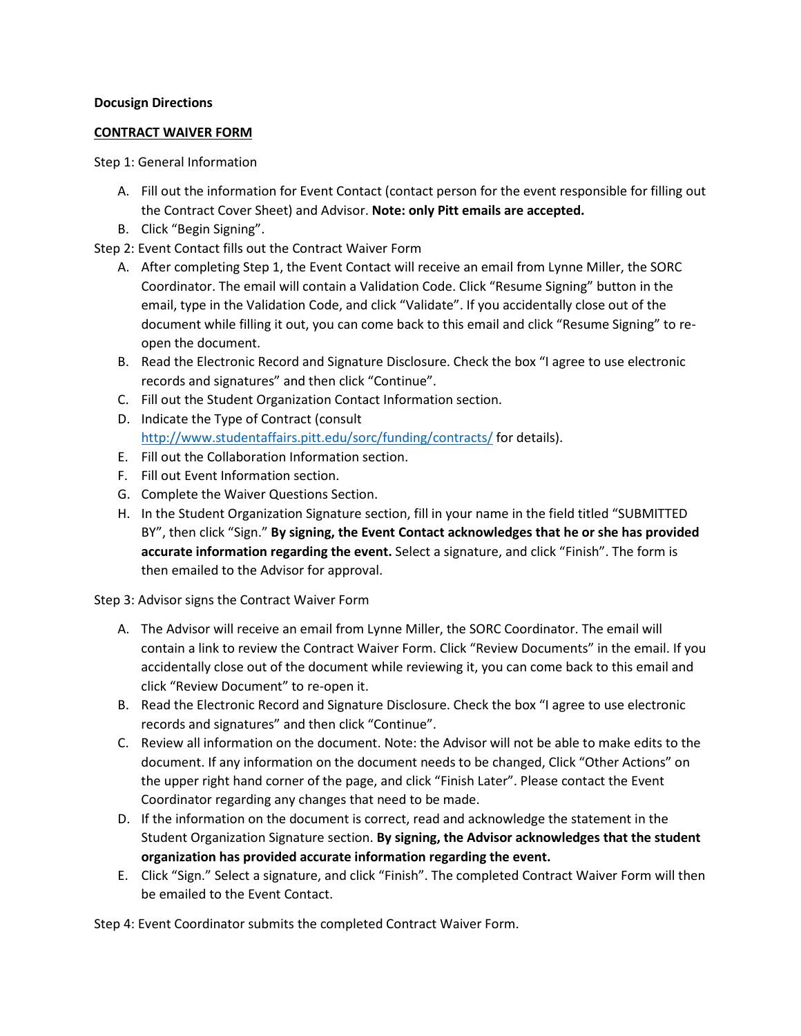## **Docusign Directions**

## **CONTRACT WAIVER FORM**

Step 1: General Information

- A. Fill out the information for Event Contact (contact person for the event responsible for filling out the Contract Cover Sheet) and Advisor. **Note: only Pitt emails are accepted.**
- B. Click "Begin Signing".

Step 2: Event Contact fills out the Contract Waiver Form

- A. After completing Step 1, the Event Contact will receive an email from Lynne Miller, the SORC Coordinator. The email will contain a Validation Code. Click "Resume Signing" button in the email, type in the Validation Code, and click "Validate". If you accidentally close out of the document while filling it out, you can come back to this email and click "Resume Signing" to reopen the document.
- B. Read the Electronic Record and Signature Disclosure. Check the box "I agree to use electronic records and signatures" and then click "Continue".
- C. Fill out the Student Organization Contact Information section.
- D. Indicate the Type of Contract (consult <http://www.studentaffairs.pitt.edu/sorc/funding/contracts/> for details).
- E. Fill out the Collaboration Information section.
- F. Fill out Event Information section.
- G. Complete the Waiver Questions Section.
- H. In the Student Organization Signature section, fill in your name in the field titled "SUBMITTED BY", then click "Sign." **By signing, the Event Contact acknowledges that he or she has provided accurate information regarding the event.** Select a signature, and click "Finish". The form is then emailed to the Advisor for approval.

Step 3: Advisor signs the Contract Waiver Form

- A. The Advisor will receive an email from Lynne Miller, the SORC Coordinator. The email will contain a link to review the Contract Waiver Form. Click "Review Documents" in the email. If you accidentally close out of the document while reviewing it, you can come back to this email and click "Review Document" to re-open it.
- B. Read the Electronic Record and Signature Disclosure. Check the box "I agree to use electronic records and signatures" and then click "Continue".
- C. Review all information on the document. Note: the Advisor will not be able to make edits to the document. If any information on the document needs to be changed, Click "Other Actions" on the upper right hand corner of the page, and click "Finish Later". Please contact the Event Coordinator regarding any changes that need to be made.
- D. If the information on the document is correct, read and acknowledge the statement in the Student Organization Signature section. **By signing, the Advisor acknowledges that the student organization has provided accurate information regarding the event.**
- E. Click "Sign." Select a signature, and click "Finish". The completed Contract Waiver Form will then be emailed to the Event Contact.

Step 4: Event Coordinator submits the completed Contract Waiver Form.